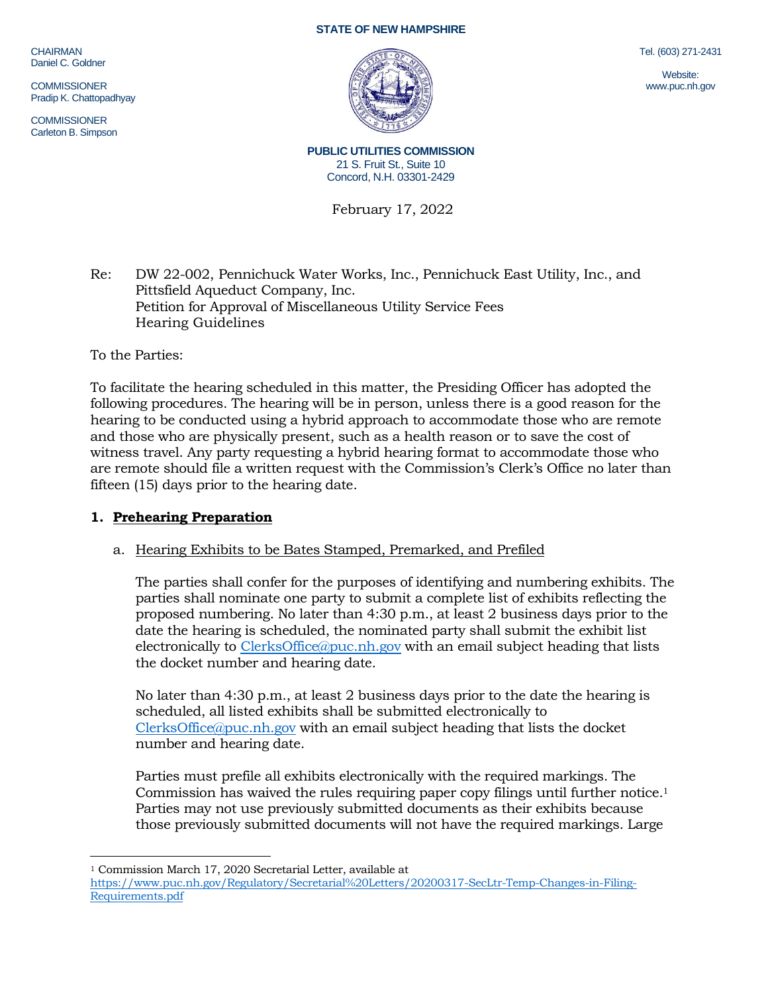CHAIRMAN Daniel C. Goldner

**COMMISSIONER** Pradip K. Chattopadhyay

**COMMISSIONER** Carleton B. Simpson

#### **STATE OF NEW HAMPSHIRE**



Tel. (603) 271-2431

Website: www.puc.nh.gov

**PUBLIC UTILITIES COMMISSION** 21 S. Fruit St., Suite 10 Concord, N.H. 03301-2429

February 17, 2022

Re: DW 22-002, Pennichuck Water Works, Inc., Pennichuck East Utility, Inc., and Pittsfield Aqueduct Company, Inc. Petition for Approval of Miscellaneous Utility Service Fees Hearing Guidelines

To the Parties:

To facilitate the hearing scheduled in this matter, the Presiding Officer has adopted the following procedures. The hearing will be in person, unless there is a good reason for the hearing to be conducted using a hybrid approach to accommodate those who are remote and those who are physically present, such as a health reason or to save the cost of witness travel. Any party requesting a hybrid hearing format to accommodate those who are remote should file a written request with the Commission's Clerk's Office no later than fifteen (15) days prior to the hearing date.

# **1. Prehearing Preparation**

## a. Hearing Exhibits to be Bates Stamped, Premarked, and Prefiled

The parties shall confer for the purposes of identifying and numbering exhibits. The parties shall nominate one party to submit a complete list of exhibits reflecting the proposed numbering. No later than 4:30 p.m., at least 2 business days prior to the date the hearing is scheduled, the nominated party shall submit the exhibit list electronically to [ClerksOffice@puc.nh.gov](mailto:ClerksOffice@puc.nh.gov) with an email subject heading that lists the docket number and hearing date.

No later than 4:30 p.m., at least 2 business days prior to the date the hearing is scheduled, all listed exhibits shall be submitted electronically to [ClerksOffice@puc.nh.gov](mailto:Clerks.Office@puc.nh.gov) with an email subject heading that lists the docket number and hearing date.

Parties must prefile all exhibits electronically with the required markings. The Commission has waived the rules requiring paper copy filings until further notice. 1 Parties may not use previously submitted documents as their exhibits because those previously submitted documents will not have the required markings. Large

<sup>1</sup> Commission March 17, 2020 Secretarial Letter, available at [https://www.puc.nh.gov/Regulatory/Secretarial%20Letters/20200317-SecLtr-Temp-Changes-in-Filing-](https://www.puc.nh.gov/Regulatory/Secretarial%20Letters/20200317-SecLtr-Temp-Changes-in-Filing-Requirements.pdf)[Requirements.pdf](https://www.puc.nh.gov/Regulatory/Secretarial%20Letters/20200317-SecLtr-Temp-Changes-in-Filing-Requirements.pdf)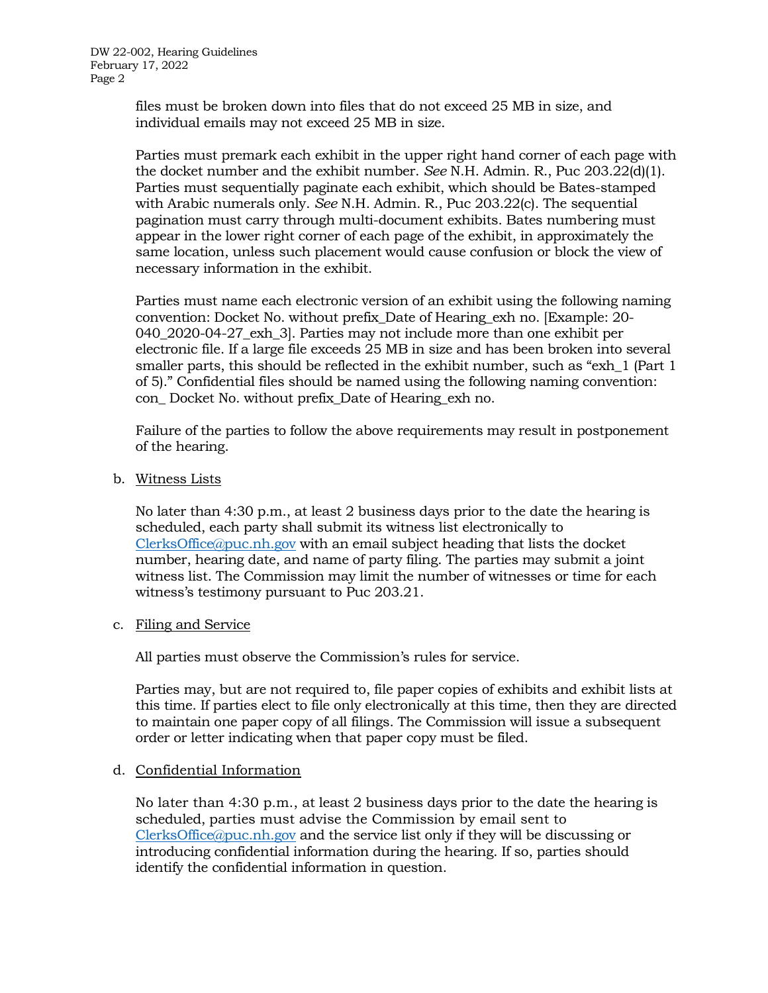DW 22-002, Hearing Guidelines February 17, 2022 Page 2

> files must be broken down into files that do not exceed 25 MB in size, and individual emails may not exceed 25 MB in size.

Parties must premark each exhibit in the upper right hand corner of each page with the docket number and the exhibit number. *See* N.H. Admin. R., Puc 203.22(d)(1). Parties must sequentially paginate each exhibit, which should be Bates-stamped with Arabic numerals only. *See* N.H. Admin. R., Puc 203.22(c). The sequential pagination must carry through multi-document exhibits. Bates numbering must appear in the lower right corner of each page of the exhibit, in approximately the same location, unless such placement would cause confusion or block the view of necessary information in the exhibit.

Parties must name each electronic version of an exhibit using the following naming convention: Docket No. without prefix\_Date of Hearing\_exh no. [Example: 20- 040\_2020-04-27\_exh\_3]. Parties may not include more than one exhibit per electronic file. If a large file exceeds 25 MB in size and has been broken into several smaller parts, this should be reflected in the exhibit number, such as "exh\_1 (Part 1 of 5)." Confidential files should be named using the following naming convention: con\_ Docket No. without prefix\_Date of Hearing\_exh no.

Failure of the parties to follow the above requirements may result in postponement of the hearing.

b. Witness Lists

No later than 4:30 p.m., at least 2 business days prior to the date the hearing is scheduled, each party shall submit its witness list electronically to [ClerksOffice@puc.nh.gov](mailto:Clerks.Office@puc.nh.gov) with an email subject heading that lists the docket number, hearing date, and name of party filing. The parties may submit a joint witness list. The Commission may limit the number of witnesses or time for each witness's testimony pursuant to Puc 203.21.

c. Filing and Service

All parties must observe the Commission's rules for service.

Parties may, but are not required to, file paper copies of exhibits and exhibit lists at this time. If parties elect to file only electronically at this time, then they are directed to maintain one paper copy of all filings. The Commission will issue a subsequent order or letter indicating when that paper copy must be filed.

## d. Confidential Information

No later than 4:30 p.m., at least 2 business days prior to the date the hearing is scheduled, parties must advise the Commission by email sent to [ClerksOffice@puc.nh.gov](mailto:Clerks.Office@puc.nh.gov) and the service list only if they will be discussing or introducing confidential information during the hearing. If so, parties should identify the confidential information in question.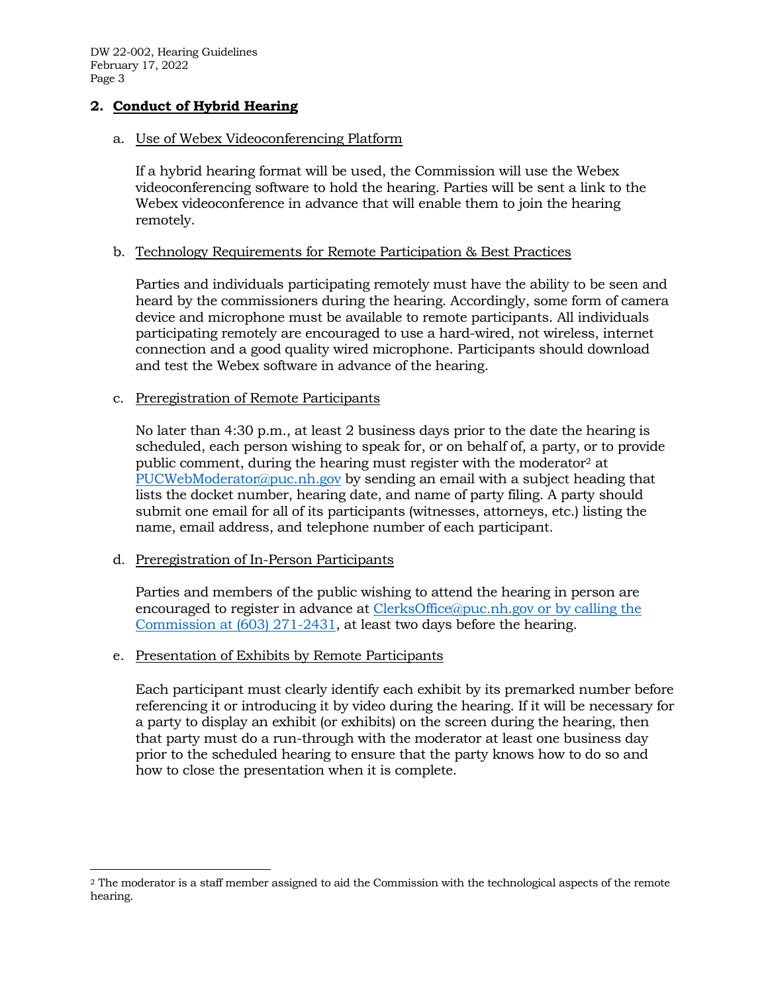DW 22-002, Hearing Guidelines February 17, 2022 Page 3

# **2. Conduct of Hybrid Hearing**

## a. Use of Webex Videoconferencing Platform

If a hybrid hearing format will be used, the Commission will use the Webex videoconferencing software to hold the hearing. Parties will be sent a link to the Webex videoconference in advance that will enable them to join the hearing remotely.

## b. Technology Requirements for Remote Participation & Best Practices

Parties and individuals participating remotely must have the ability to be seen and heard by the commissioners during the hearing. Accordingly, some form of camera device and microphone must be available to remote participants. All individuals participating remotely are encouraged to use a hard-wired, not wireless, internet connection and a good quality wired microphone. Participants should download and test the Webex software in advance of the hearing.

#### c. Preregistration of Remote Participants

No later than 4:30 p.m., at least 2 business days prior to the date the hearing is scheduled, each person wishing to speak for, or on behalf of, a party, or to provide public comment, during the hearing must register with the moderator<sup>2</sup> at [PUCWebModerator@puc.nh.gov](mailto:PUCWebModerator@puc.nh.gov) by sending an email with a subject heading that lists the docket number, hearing date, and name of party filing. A party should submit one email for all of its participants (witnesses, attorneys, etc.) listing the name, email address, and telephone number of each participant.

## d. Preregistration of In-Person Participants

Parties and members of the public wishing to attend the hearing in person are encouraged to register in advance at [ClerksOffice@puc.nh.gov](mailto:Clerks.Office@puc.nh.gov) or by calling the Commission at (603) 271-2431, at least two days before the hearing.

## e. Presentation of Exhibits by Remote Participants

Each participant must clearly identify each exhibit by its premarked number before referencing it or introducing it by video during the hearing. If it will be necessary for a party to display an exhibit (or exhibits) on the screen during the hearing, then that party must do a run-through with the moderator at least one business day prior to the scheduled hearing to ensure that the party knows how to do so and how to close the presentation when it is complete.

<sup>2</sup> The moderator is a staff member assigned to aid the Commission with the technological aspects of the remote hearing.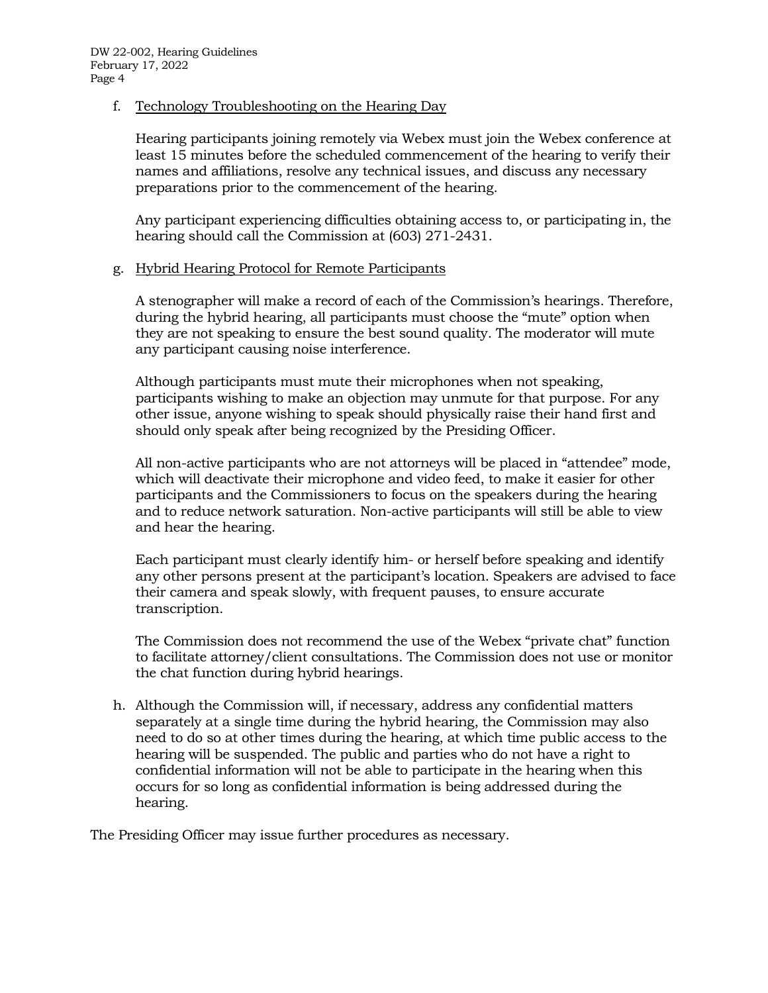f. Technology Troubleshooting on the Hearing Day

Hearing participants joining remotely via Webex must join the Webex conference at least 15 minutes before the scheduled commencement of the hearing to verify their names and affiliations, resolve any technical issues, and discuss any necessary preparations prior to the commencement of the hearing.

Any participant experiencing difficulties obtaining access to, or participating in, the hearing should call the Commission at (603) 271-2431.

# g. Hybrid Hearing Protocol for Remote Participants

A stenographer will make a record of each of the Commission's hearings. Therefore, during the hybrid hearing, all participants must choose the "mute" option when they are not speaking to ensure the best sound quality. The moderator will mute any participant causing noise interference.

Although participants must mute their microphones when not speaking, participants wishing to make an objection may unmute for that purpose. For any other issue, anyone wishing to speak should physically raise their hand first and should only speak after being recognized by the Presiding Officer.

All non-active participants who are not attorneys will be placed in "attendee" mode, which will deactivate their microphone and video feed, to make it easier for other participants and the Commissioners to focus on the speakers during the hearing and to reduce network saturation. Non-active participants will still be able to view and hear the hearing.

Each participant must clearly identify him- or herself before speaking and identify any other persons present at the participant's location. Speakers are advised to face their camera and speak slowly, with frequent pauses, to ensure accurate transcription.

The Commission does not recommend the use of the Webex "private chat" function to facilitate attorney/client consultations. The Commission does not use or monitor the chat function during hybrid hearings.

h. Although the Commission will, if necessary, address any confidential matters separately at a single time during the hybrid hearing, the Commission may also need to do so at other times during the hearing, at which time public access to the hearing will be suspended. The public and parties who do not have a right to confidential information will not be able to participate in the hearing when this occurs for so long as confidential information is being addressed during the hearing.

The Presiding Officer may issue further procedures as necessary.